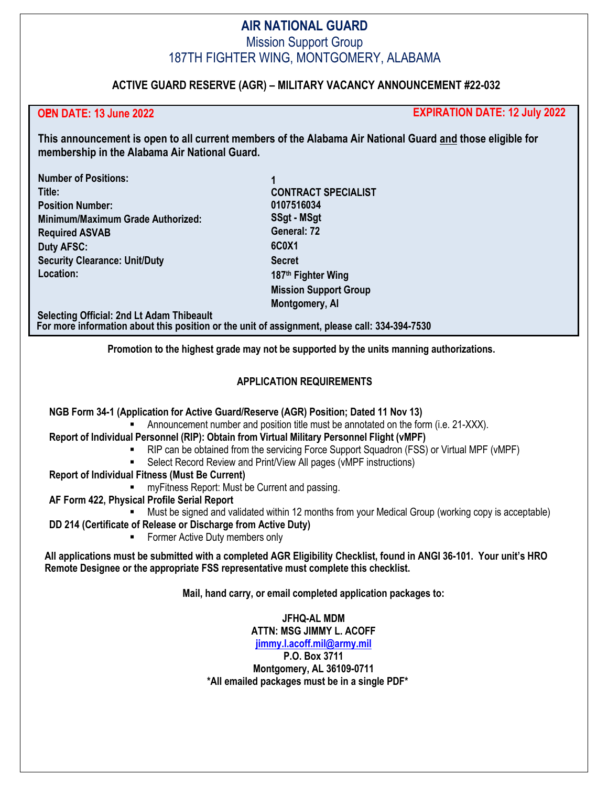# **AIR NATIONAL GUARD** Mission Support Group 187TH FIGHTER WING, MONTGOMERY, ALABAMA

#### **ACTIVE GUARD RESERVE (AGR) – MILITARY VACANCY ANNOUNCEMENT #22-032**

#### **OPEN DATE:** 13 J**une 2022 EXPIRATION DATE: 1**2 **July 2022**

**This announcement is open to all current members of the Alabama Air National Guard and those eligible for membership in the Alabama Air National Guard.**

**Number of Positions: Title: Position Number: Minimum/Maximum Grade Authorized: Required ASVAB Duty AFSC: Security Clearance: Unit/Duty Location:**

**1 CONTRACT SPECIALIST 0107516034 SSgt - MSgt General: 72 6C0X1 Secret 187th Fighter Wing Mission Support Group Montgomery, Al**

**Selecting Official: 2nd Lt Adam Thibeault For more information about this position or the unit of assignment, please call: 334-394-7530**

**Promotion to the highest grade may not be supported by the units manning authorizations.**

#### **APPLICATION REQUIREMENTS**

**NGB Form 34-1 (Application for Active Guard/Reserve (AGR) Position; Dated 11 Nov 13)**

Announcement number and position title must be annotated on the form (i.e. 21-XXX).

**Report of Individual Personnel (RIP): Obtain from Virtual Military Personnel Flight (vMPF)**

■ RIP can be obtained from the servicing Force Support Squadron (FSS) or Virtual MPF (vMPF)

Select Record Review and Print/View All pages (vMPF instructions)

**Report of Individual Fitness (Must Be Current)**

my Fitness Report: Must be Current and passing.

**AF Form 422, Physical Profile Serial Report**

▪ Must be signed and validated within 12 months from your Medical Group (working copy is acceptable)

**DD 214 (Certificate of Release or Discharge from Active Duty)**

■ Former Active Duty members only

**1. All applications must be submitted with a completed AGR Eligibility Checklist, found in ANGI 36-101. Your unit's HRO Remote Designee or the appropriate FSS representative must complete this checklist.**

**Mail, hand carry, or email completed application packages to:**

**JFHQ-AL MDM ATTN: MSG JIMMY L. ACOFF [jimmy.l.acoff.mil@army.mil](mailto:jimmy.l.acoff.mil@army.mil)**

**P.O. Box 3711 Montgomery, AL 36109-0711**

**\*All emailed packages must be in a single PDF\***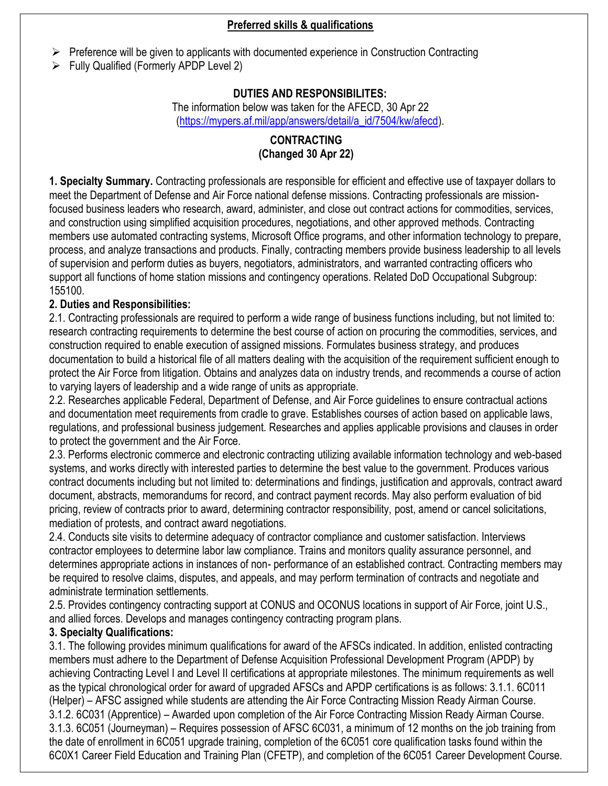#### **Preferred skills & qualifications**

- $\triangleright$  Preference will be given to applicants with documented experience in Construction Contracting
- ➢ Fully Qualified (Formerly APDP Level 2)

# **DUTIES AND RESPONSIBILITES:**

The information below was taken for the AFECD, 30 Apr 22 [\(h](https://mypers.af.mil/ci/fattach/get/9910080/1555961061/redirect/1/filename/AFECD%2030%20Apr%2019%20Finalv3.pdf)ttps://mypers.af.mil/app/answers/detail/a\_id/7504/kw/afecd).

#### **CONTRACTING (Changed 30 Apr 22)**

**1. Specialty Summary.** Contracting professionals are responsible for efficient and effective use of taxpayer dollars to meet the Department of Defense and Air Force national defense missions. Contracting professionals are missionfocused business leaders who research, award, administer, and close out contract actions for commodities, services, and construction using simplified acquisition procedures, negotiations, and other approved methods. Contracting members use automated contracting systems, Microsoft Office programs, and other information technology to prepare, process, and analyze transactions and products. Finally, contracting members provide business leadership to all levels of supervision and perform duties as buyers, negotiators, administrators, and warranted contracting officers who support all functions of home station missions and contingency operations. Related DoD Occupational Subgroup: 155100.

### **2. Duties and Responsibilities:**

2.1. Contracting professionals are required to perform a wide range of business functions including, but not limited to: research contracting requirements to determine the best course of action on procuring the commodities, services, and construction required to enable execution of assigned missions. Formulates business strategy, and produces documentation to build a historical file of all matters dealing with the acquisition of the requirement sufficient enough to protect the Air Force from litigation. Obtains and analyzes data on industry trends, and recommends a course of action to varying layers of leadership and a wide range of units as appropriate.

2.2. Researches applicable Federal, Department of Defense, and Air Force guidelines to ensure contractual actions and documentation meet requirements from cradle to grave. Establishes courses of action based on applicable laws, regulations, and professional business judgement. Researches and applies applicable provisions and clauses in order to protect the government and the Air Force.

2.3. Performs electronic commerce and electronic contracting utilizing available information technology and web-based systems, and works directly with interested parties to determine the best value to the government. Produces various contract documents including but not limited to: determinations and findings, justification and approvals, contract award document, abstracts, memorandums for record, and contract payment records. May also perform evaluation of bid pricing, review of contracts prior to award, determining contractor responsibility, post, amend or cancel solicitations, mediation of protests, and contract award negotiations.

2.4. Conducts site visits to determine adequacy of contractor compliance and customer satisfaction. Interviews contractor employees to determine labor law compliance. Trains and monitors quality assurance personnel, and determines appropriate actions in instances of non- performance of an established contract. Contracting members may be required to resolve claims, disputes, and appeals, and may perform termination of contracts and negotiate and administrate termination settlements.

2.5. Provides contingency contracting support at CONUS and OCONUS locations in support of Air Force, joint U.S., and allied forces. Develops and manages contingency contracting program plans.

# **3. Specialty Qualifications:**

3.1. The following provides minimum qualifications for award of the AFSCs indicated. In addition, enlisted contracting members must adhere to the Department of Defense Acquisition Professional Development Program (APDP) by achieving Contracting Level I and Level II certifications at appropriate milestones. The minimum requirements as well as the typical chronological order for award of upgraded AFSCs and APDP certifications is as follows: 3.1.1. 6C011 (Helper) – AFSC assigned while students are attending the Air Force Contracting Mission Ready Airman Course. 3.1.2. 6C031 (Apprentice) – Awarded upon completion of the Air Force Contracting Mission Ready Airman Course. 3.1.3. 6C051 (Journeyman) – Requires possession of AFSC 6C031, a minimum of 12 months on the job training from the date of enrollment in 6C051 upgrade training, completion of the 6C051 core qualification tasks found within the 6C0X1 Career Field Education and Training Plan (CFETP), and completion of the 6C051 Career Development Course.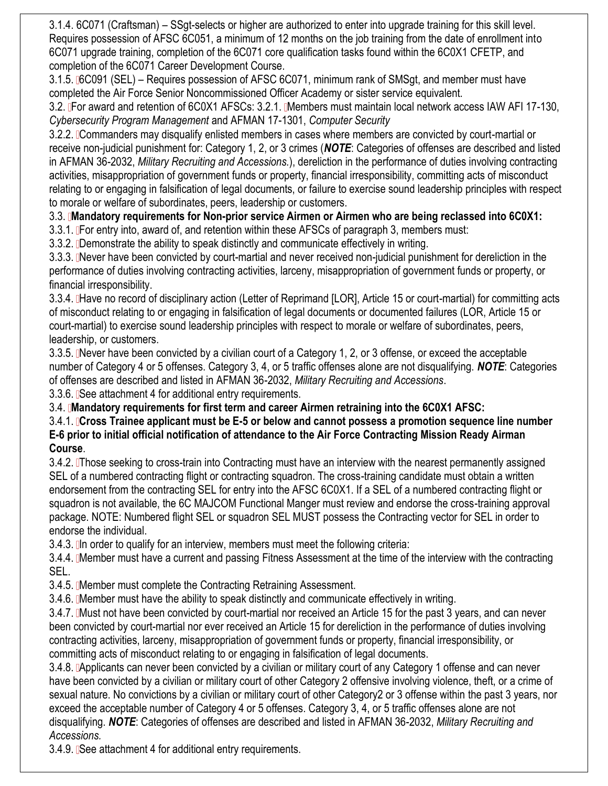3.1.4. 6C071 (Craftsman) – SSgt-selects or higher are authorized to enter into upgrade training for this skill level. Requires possession of AFSC 6C051, a minimum of 12 months on the job training from the date of enrollment into 6C071 upgrade training, completion of the 6C071 core qualification tasks found within the 6C0X1 CFETP, and completion of the 6C071 Career Development Course.

3.1.5. 6C091 (SEL) – Requires possession of AFSC 6C071, minimum rank of SMSgt, and member must have completed the Air Force Senior Noncommissioned Officer Academy or sister service equivalent.

3.2. For award and retention of 6C0X1 AFSCs: 3.2.1. Members must maintain local network access IAW AFI 17-130, *Cybersecurity Program Management* and AFMAN 17-1301, *Computer Security* 

3.2.2. Commanders may disqualify enlisted members in cases where members are convicted by court-martial or receive non-judicial punishment for: Category 1, 2, or 3 crimes (*NOTE*: Categories of offenses are described and listed in AFMAN 36-2032, *Military Recruiting and Accessions.*), dereliction in the performance of duties involving contracting activities, misappropriation of government funds or property, financial irresponsibility, committing acts of misconduct relating to or engaging in falsification of legal documents, or failure to exercise sound leadership principles with respect to morale or welfare of subordinates, peers, leadership or customers.

3.3. **Mandatory requirements for Non-prior service Airmen or Airmen who are being reclassed into 6C0X1:** 

3.3.1. For entry into, award of, and retention within these AFSCs of paragraph 3, members must:

3.3.2. Demonstrate the ability to speak distinctly and communicate effectively in writing.

3.3.3. Never have been convicted by court-martial and never received non-judicial punishment for dereliction in the performance of duties involving contracting activities, larceny, misappropriation of government funds or property, or financial irresponsibility.

3.3.4. Have no record of disciplinary action (Letter of Reprimand [LOR], Article 15 or court-martial) for committing acts of misconduct relating to or engaging in falsification of legal documents or documented failures (LOR, Article 15 or court-martial) to exercise sound leadership principles with respect to morale or welfare of subordinates, peers, leadership, or customers.

3.3.5. Never have been convicted by a civilian court of a Category 1, 2, or 3 offense, or exceed the acceptable number of Category 4 or 5 offenses. Category 3, 4, or 5 traffic offenses alone are not disqualifying. *NOTE*: Categories of offenses are described and listed in AFMAN 36-2032, *Military Recruiting and Accessions*.

3.3.6. See attachment 4 for additional entry requirements.

3.4. **Mandatory requirements for first term and career Airmen retraining into the 6C0X1 AFSC:** 

3.4.1. **Cross Trainee applicant must be E-5 or below and cannot possess a promotion sequence line number E-6 prior to initial official notification of attendance to the Air Force Contracting Mission Ready Airman Course**.

3.4.2. Those seeking to cross-train into Contracting must have an interview with the nearest permanently assigned SEL of a numbered contracting flight or contracting squadron. The cross-training candidate must obtain a written endorsement from the contracting SEL for entry into the AFSC 6C0X1. If a SEL of a numbered contracting flight or squadron is not available, the 6C MAJCOM Functional Manger must review and endorse the cross-training approval package. NOTE: Numbered flight SEL or squadron SEL MUST possess the Contracting vector for SEL in order to endorse the individual.

3.4.3. In order to qualify for an interview, members must meet the following criteria:

3.4.4. Member must have a current and passing Fitness Assessment at the time of the interview with the contracting SEL.

3.4.5. Member must complete the Contracting Retraining Assessment.

3.4.6. Member must have the ability to speak distinctly and communicate effectively in writing.

3.4.7. Must not have been convicted by court-martial nor received an Article 15 for the past 3 years, and can never been convicted by court-martial nor ever received an Article 15 for dereliction in the performance of duties involving contracting activities, larceny, misappropriation of government funds or property, financial irresponsibility, or committing acts of misconduct relating to or engaging in falsification of legal documents.

3.4.8. **Applicants can never been convicted by a civilian or military court of any Category 1 offense and can never** have been convicted by a civilian or military court of other Category 2 offensive involving violence, theft, or a crime of sexual nature. No convictions by a civilian or military court of other Category2 or 3 offense within the past 3 years, nor exceed the acceptable number of Category 4 or 5 offenses. Category 3, 4, or 5 traffic offenses alone are not disqualifying. *NOTE*: Categories of offenses are described and listed in AFMAN 36-2032, *Military Recruiting and Accessions.* 

3.4.9. **See attachment 4 for additional entry requirements.**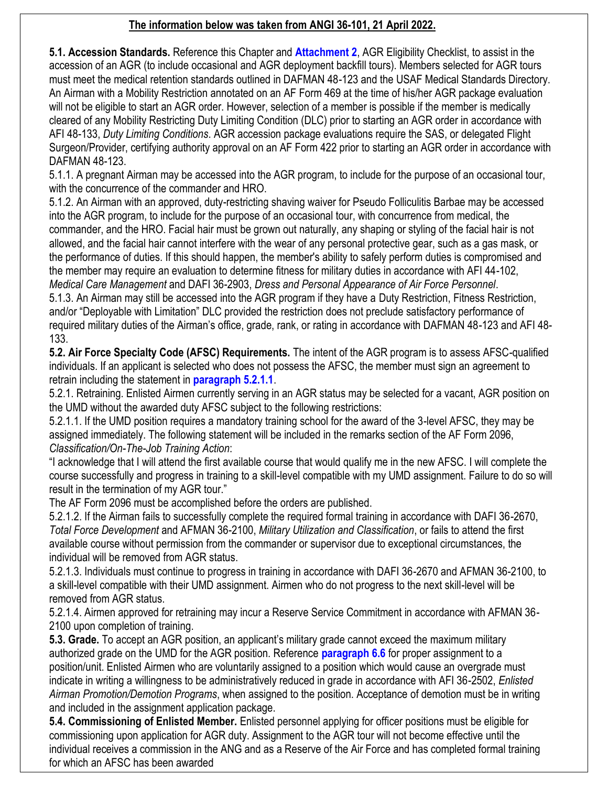#### **The information below was taken from ANGI 36-101, 21 April 2022.**

**5.1. Accession Standards.** Reference this Chapter and **Attachment 2**, AGR Eligibility Checklist, to assist in the accession of an AGR (to include occasional and AGR deployment backfill tours). Members selected for AGR tours must meet the medical retention standards outlined in DAFMAN 48-123 and the USAF Medical Standards Directory. An Airman with a Mobility Restriction annotated on an AF Form 469 at the time of his/her AGR package evaluation will not be eligible to start an AGR order. However, selection of a member is possible if the member is medically cleared of any Mobility Restricting Duty Limiting Condition (DLC) prior to starting an AGR order in accordance with AFI 48-133, *Duty Limiting Conditions*. AGR accession package evaluations require the SAS, or delegated Flight Surgeon/Provider, certifying authority approval on an AF Form 422 prior to starting an AGR order in accordance with DAFMAN 48-123.

5.1.1. A pregnant Airman may be accessed into the AGR program, to include for the purpose of an occasional tour, with the concurrence of the commander and HRO.

5.1.2. An Airman with an approved, duty-restricting shaving waiver for Pseudo Folliculitis Barbae may be accessed into the AGR program, to include for the purpose of an occasional tour, with concurrence from medical, the commander, and the HRO. Facial hair must be grown out naturally, any shaping or styling of the facial hair is not allowed, and the facial hair cannot interfere with the wear of any personal protective gear, such as a gas mask, or the performance of duties. If this should happen, the member's ability to safely perform duties is compromised and the member may require an evaluation to determine fitness for military duties in accordance with AFI 44-102, *Medical Care Management* and DAFI 36-2903, *Dress and Personal Appearance of Air Force Personnel*.

5.1.3. An Airman may still be accessed into the AGR program if they have a Duty Restriction, Fitness Restriction, and/or "Deployable with Limitation" DLC provided the restriction does not preclude satisfactory performance of required military duties of the Airman's office, grade, rank, or rating in accordance with DAFMAN 48-123 and AFI 48- 133.

**5.2. Air Force Specialty Code (AFSC) Requirements.** The intent of the AGR program is to assess AFSC-qualified individuals. If an applicant is selected who does not possess the AFSC, the member must sign an agreement to retrain including the statement in **paragraph 5.2.1.1**.

5.2.1. Retraining. Enlisted Airmen currently serving in an AGR status may be selected for a vacant, AGR position on the UMD without the awarded duty AFSC subject to the following restrictions:

5.2.1.1. If the UMD position requires a mandatory training school for the award of the 3-level AFSC, they may be assigned immediately. The following statement will be included in the remarks section of the AF Form 2096, *Classification/On-The-Job Training Action*:

"I acknowledge that I will attend the first available course that would qualify me in the new AFSC. I will complete the course successfully and progress in training to a skill-level compatible with my UMD assignment. Failure to do so will result in the termination of my AGR tour."

The AF Form 2096 must be accomplished before the orders are published.

5.2.1.2. If the Airman fails to successfully complete the required formal training in accordance with DAFI 36-2670, *Total Force Development* and AFMAN 36-2100, *Military Utilization and Classification*, or fails to attend the first available course without permission from the commander or supervisor due to exceptional circumstances, the individual will be removed from AGR status.

5.2.1.3. Individuals must continue to progress in training in accordance with DAFI 36-2670 and AFMAN 36-2100, to a skill-level compatible with their UMD assignment. Airmen who do not progress to the next skill-level will be removed from AGR status.

5.2.1.4. Airmen approved for retraining may incur a Reserve Service Commitment in accordance with AFMAN 36- 2100 upon completion of training.

**5.3. Grade.** To accept an AGR position, an applicant's military grade cannot exceed the maximum military authorized grade on the UMD for the AGR position. Reference **paragraph 6.6** for proper assignment to a position/unit. Enlisted Airmen who are voluntarily assigned to a position which would cause an overgrade must indicate in writing a willingness to be administratively reduced in grade in accordance with AFI 36-2502, *Enlisted Airman Promotion/Demotion Programs*, when assigned to the position. Acceptance of demotion must be in writing and included in the assignment application package.

**5.4. Commissioning of Enlisted Member.** Enlisted personnel applying for officer positions must be eligible for commissioning upon application for AGR duty. Assignment to the AGR tour will not become effective until the individual receives a commission in the ANG and as a Reserve of the Air Force and has completed formal training for which an AFSC has been awarded